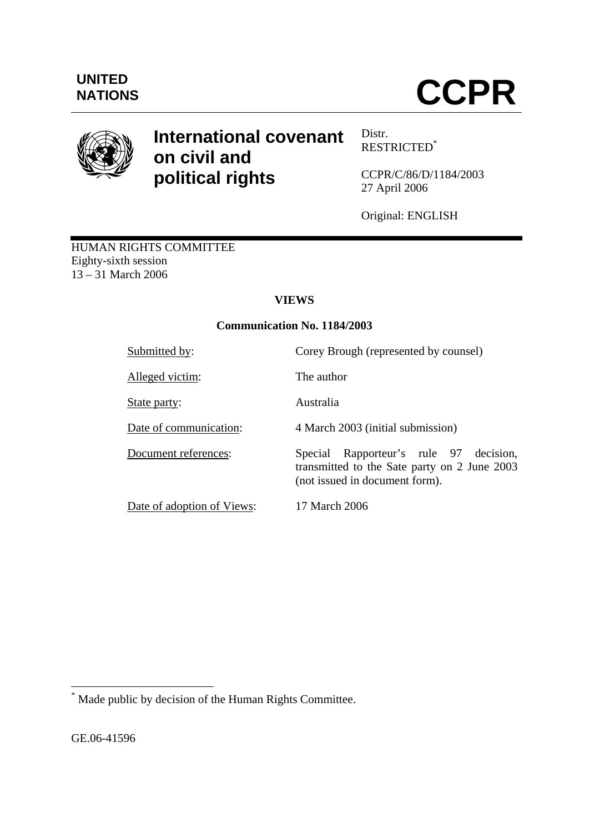

# **International covenant on civil and political rights**

Distr. RESTRICTED\*

CCPR/C/86/D/1184/2003 27 April 2006

Original: ENGLISH

HUMAN RIGHTS COMMITTEE Eighty-sixth session 13 – 31 March 2006

## **VIEWS**

## **Communication No. 1184/2003**

| Submitted by:              | Corey Brough (represented by counsel)                                                                                          |
|----------------------------|--------------------------------------------------------------------------------------------------------------------------------|
| Alleged victim:            | The author                                                                                                                     |
| State party:               | Australia                                                                                                                      |
| Date of communication:     | 4 March 2003 (initial submission)                                                                                              |
| Document references:       | Rapporteur's rule 97<br>Special<br>decision.<br>transmitted to the Sate party on 2 June 2003<br>(not issued in document form). |
| Date of adoption of Views: | 17 March 2006                                                                                                                  |

 \* Made public by decision of the Human Rights Committee.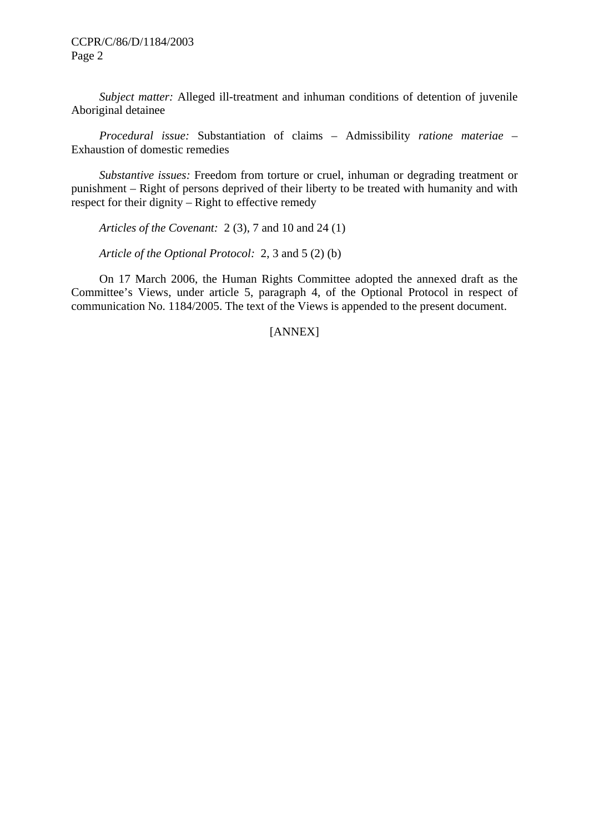*Subject matter:* Alleged ill-treatment and inhuman conditions of detention of juvenile Aboriginal detainee

 *Procedural issue:* Substantiation of claims – Admissibility *ratione materiae –*  Exhaustion of domestic remedies

 *Substantive issues:* Freedom from torture or cruel, inhuman or degrading treatment or punishment – Right of persons deprived of their liberty to be treated with humanity and with respect for their dignity – Right to effective remedy

 *Articles of the Covenant:* 2 (3), 7 and 10 and 24 (1)

 *Article of the Optional Protocol:* 2, 3 and 5 (2) (b)

 On 17 March 2006, the Human Rights Committee adopted the annexed draft as the Committee's Views, under article 5, paragraph 4, of the Optional Protocol in respect of communication No. 1184/2005. The text of the Views is appended to the present document.

## [ANNEX]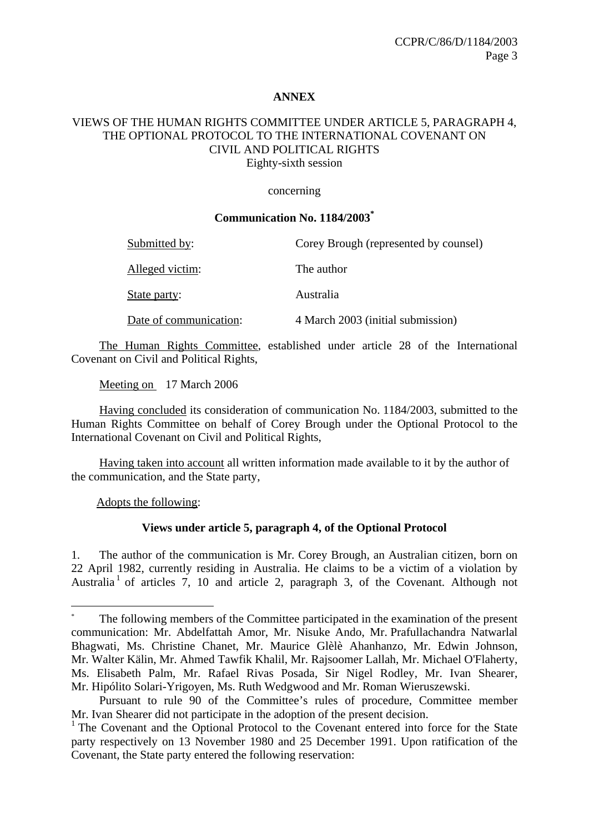#### **ANNEX**

#### VIEWS OF THE HUMAN RIGHTS COMMITTEE UNDER ARTICLE 5, PARAGRAPH 4, THE OPTIONAL PROTOCOL TO THE INTERNATIONAL COVENANT ON CIVIL AND POLITICAL RIGHTS Eighty-sixth session

concerning

#### **Communication No. 1184/2003\***

| Submitted by:          | Corey Brough (represented by counsel) |
|------------------------|---------------------------------------|
| Alleged victim:        | The author                            |
| State party:           | Australia                             |
| Date of communication: | 4 March 2003 (initial submission)     |

 The Human Rights Committee, established under article 28 of the International Covenant on Civil and Political Rights,

Meeting on 17 March 2006

 Having concluded its consideration of communication No. 1184/2003, submitted to the Human Rights Committee on behalf of Corey Brough under the Optional Protocol to the International Covenant on Civil and Political Rights,

 Having taken into account all written information made available to it by the author of the communication, and the State party,

Adopts the following:

<u>.</u>

#### **Views under article 5, paragraph 4, of the Optional Protocol**

1. The author of the communication is Mr. Corey Brough, an Australian citizen, born on 22 April 1982, currently residing in Australia. He claims to be a victim of a violation by Australia<sup>1</sup> of articles 7, 10 and article 2, paragraph 3, of the Covenant. Although not

<sup>\*</sup> The following members of the Committee participated in the examination of the present communication: Mr. Abdelfattah Amor, Mr. Nisuke Ando, Mr. Prafullachandra Natwarlal Bhagwati, Ms. Christine Chanet, Mr. Maurice Glèlè Ahanhanzo, Mr. Edwin Johnson, Mr. Walter Kälin, Mr. Ahmed Tawfik Khalil, Mr. Rajsoomer Lallah, Mr. Michael O'Flaherty, Ms. Elisabeth Palm, Mr. Rafael Rivas Posada, Sir Nigel Rodley, Mr. Ivan Shearer, Mr. Hipólito Solari-Yrigoyen, Ms. Ruth Wedgwood and Mr. Roman Wieruszewski.

Pursuant to rule 90 of the Committee's rules of procedure, Committee member Mr. Ivan Shearer did not participate in the adoption of the present decision.

<sup>&</sup>lt;sup>1</sup> The Covenant and the Optional Protocol to the Covenant entered into force for the State party respectively on 13 November 1980 and 25 December 1991. Upon ratification of the Covenant, the State party entered the following reservation: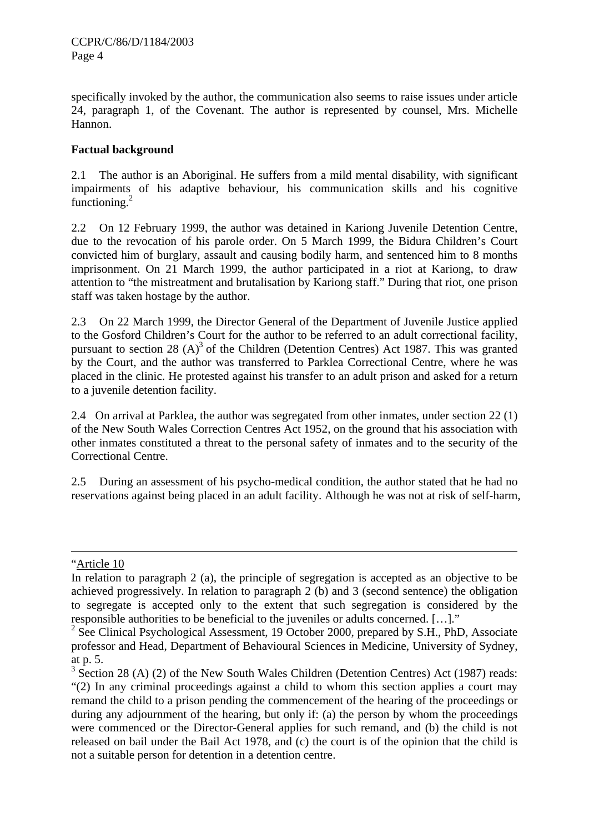specifically invoked by the author, the communication also seems to raise issues under article 24, paragraph 1, of the Covenant. The author is represented by counsel, Mrs. Michelle Hannon.

## **Factual background**

2.1 The author is an Aboriginal. He suffers from a mild mental disability, with significant impairments of his adaptive behaviour, his communication skills and his cognitive functioning. $^{2}$ 

2.2 On 12 February 1999, the author was detained in Kariong Juvenile Detention Centre, due to the revocation of his parole order. On 5 March 1999, the Bidura Children's Court convicted him of burglary, assault and causing bodily harm, and sentenced him to 8 months imprisonment. On 21 March 1999, the author participated in a riot at Kariong, to draw attention to "the mistreatment and brutalisation by Kariong staff." During that riot, one prison staff was taken hostage by the author.

2.3 On 22 March 1999, the Director General of the Department of Juvenile Justice applied to the Gosford Children's Court for the author to be referred to an adult correctional facility, pursuant to section 28  $(A)^3$  of the Children (Detention Centres) Act 1987. This was granted by the Court, and the author was transferred to Parklea Correctional Centre, where he was placed in the clinic. He protested against his transfer to an adult prison and asked for a return to a juvenile detention facility.

2.4 On arrival at Parklea, the author was segregated from other inmates, under section 22 (1) of the New South Wales Correction Centres Act 1952, on the ground that his association with other inmates constituted a threat to the personal safety of inmates and to the security of the Correctional Centre.

2.5 During an assessment of his psycho-medical condition, the author stated that he had no reservations against being placed in an adult facility. Although he was not at risk of self-harm,

<sup>&</sup>quot;Article 10

In relation to paragraph 2 (a), the principle of segregation is accepted as an objective to be achieved progressively. In relation to paragraph 2 (b) and 3 (second sentence) the obligation to segregate is accepted only to the extent that such segregation is considered by the responsible authorities to be beneficial to the juveniles or adults concerned. […]."

<sup>&</sup>lt;sup>2</sup> See Clinical Psychological Assessment, 19 October 2000, prepared by S.H., PhD, Associate professor and Head, Department of Behavioural Sciences in Medicine, University of Sydney, at p. 5.

 $3$  Section 28 (A) (2) of the New South Wales Children (Detention Centres) Act (1987) reads: "(2) In any criminal proceedings against a child to whom this section applies a court may remand the child to a prison pending the commencement of the hearing of the proceedings or during any adjournment of the hearing, but only if: (a) the person by whom the proceedings were commenced or the Director-General applies for such remand, and (b) the child is not released on bail under the Bail Act 1978, and (c) the court is of the opinion that the child is not a suitable person for detention in a detention centre.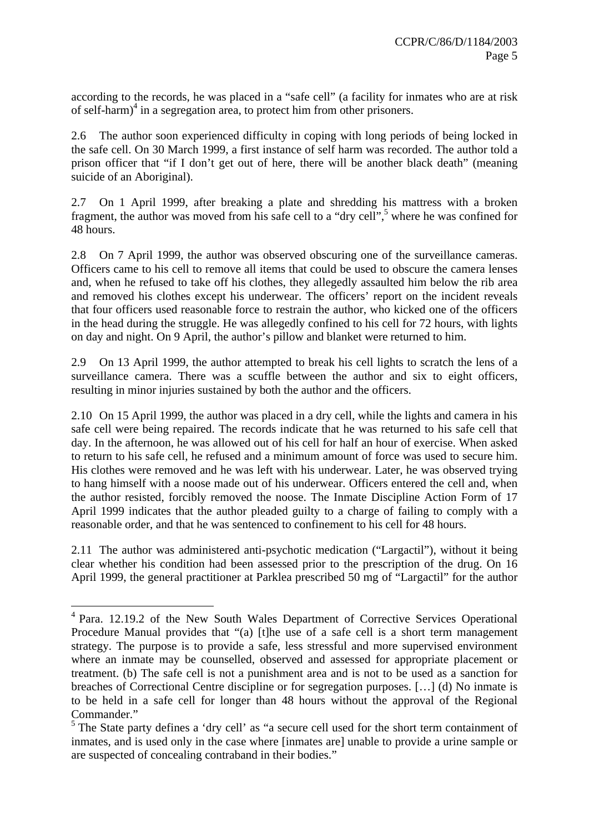according to the records, he was placed in a "safe cell" (a facility for inmates who are at risk of self-harm)<sup>4</sup> in a segregation area, to protect him from other prisoners.

2.6 The author soon experienced difficulty in coping with long periods of being locked in the safe cell. On 30 March 1999, a first instance of self harm was recorded. The author told a prison officer that "if I don't get out of here, there will be another black death" (meaning suicide of an Aboriginal).

2.7 On 1 April 1999, after breaking a plate and shredding his mattress with a broken fragment, the author was moved from his safe cell to a "dry cell",<sup>5</sup> where he was confined for 48 hours.

2.8 On 7 April 1999, the author was observed obscuring one of the surveillance cameras. Officers came to his cell to remove all items that could be used to obscure the camera lenses and, when he refused to take off his clothes, they allegedly assaulted him below the rib area and removed his clothes except his underwear. The officers' report on the incident reveals that four officers used reasonable force to restrain the author, who kicked one of the officers in the head during the struggle. He was allegedly confined to his cell for 72 hours, with lights on day and night. On 9 April, the author's pillow and blanket were returned to him.

2.9 On 13 April 1999, the author attempted to break his cell lights to scratch the lens of a surveillance camera. There was a scuffle between the author and six to eight officers, resulting in minor injuries sustained by both the author and the officers.

2.10 On 15 April 1999, the author was placed in a dry cell, while the lights and camera in his safe cell were being repaired. The records indicate that he was returned to his safe cell that day. In the afternoon, he was allowed out of his cell for half an hour of exercise. When asked to return to his safe cell, he refused and a minimum amount of force was used to secure him. His clothes were removed and he was left with his underwear. Later, he was observed trying to hang himself with a noose made out of his underwear. Officers entered the cell and, when the author resisted, forcibly removed the noose. The Inmate Discipline Action Form of 17 April 1999 indicates that the author pleaded guilty to a charge of failing to comply with a reasonable order, and that he was sentenced to confinement to his cell for 48 hours.

2.11 The author was administered anti-psychotic medication ("Largactil"), without it being clear whether his condition had been assessed prior to the prescription of the drug. On 16 April 1999, the general practitioner at Parklea prescribed 50 mg of "Largactil" for the author

<u>.</u>

<sup>&</sup>lt;sup>4</sup> Para. 12.19.2 of the New South Wales Department of Corrective Services Operational Procedure Manual provides that "(a) [t]he use of a safe cell is a short term management strategy. The purpose is to provide a safe, less stressful and more supervised environment where an inmate may be counselled, observed and assessed for appropriate placement or treatment. (b) The safe cell is not a punishment area and is not to be used as a sanction for breaches of Correctional Centre discipline or for segregation purposes. […] (d) No inmate is to be held in a safe cell for longer than 48 hours without the approval of the Regional Commander."

<sup>&</sup>lt;sup>5</sup> The State party defines a 'dry cell' as "a secure cell used for the short term containment of inmates, and is used only in the case where [inmates are] unable to provide a urine sample or are suspected of concealing contraband in their bodies."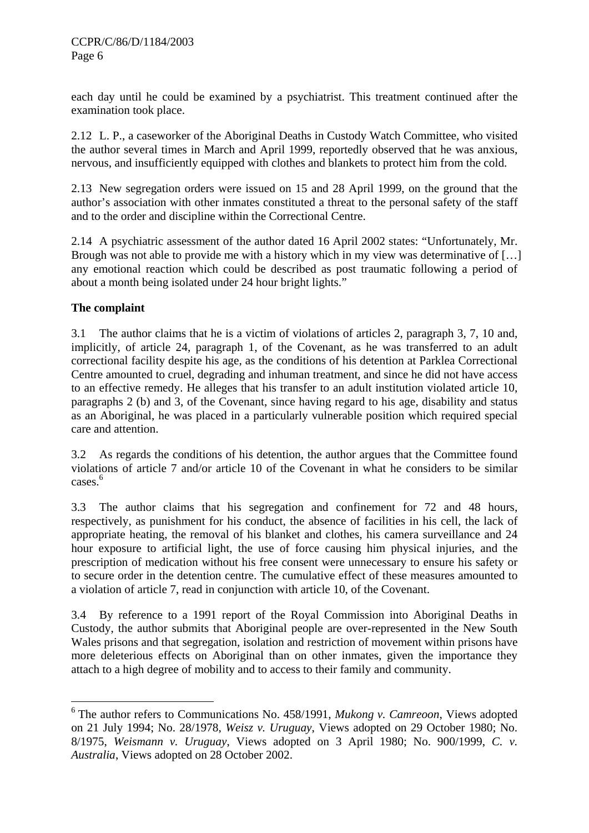each day until he could be examined by a psychiatrist. This treatment continued after the examination took place.

2.12 L. P., a caseworker of the Aboriginal Deaths in Custody Watch Committee, who visited the author several times in March and April 1999, reportedly observed that he was anxious, nervous, and insufficiently equipped with clothes and blankets to protect him from the cold.

2.13 New segregation orders were issued on 15 and 28 April 1999, on the ground that the author's association with other inmates constituted a threat to the personal safety of the staff and to the order and discipline within the Correctional Centre.

2.14 A psychiatric assessment of the author dated 16 April 2002 states: "Unfortunately, Mr. Brough was not able to provide me with a history which in my view was determinative of [...] any emotional reaction which could be described as post traumatic following a period of about a month being isolated under 24 hour bright lights."

## **The complaint**

1

3.1 The author claims that he is a victim of violations of articles 2, paragraph 3, 7, 10 and, implicitly, of article 24, paragraph 1, of the Covenant, as he was transferred to an adult correctional facility despite his age, as the conditions of his detention at Parklea Correctional Centre amounted to cruel, degrading and inhuman treatment, and since he did not have access to an effective remedy. He alleges that his transfer to an adult institution violated article 10, paragraphs 2 (b) and 3, of the Covenant, since having regard to his age, disability and status as an Aboriginal, he was placed in a particularly vulnerable position which required special care and attention.

3.2 As regards the conditions of his detention, the author argues that the Committee found violations of article 7 and/or article 10 of the Covenant in what he considers to be similar cases.<sup>6</sup>

3.3 The author claims that his segregation and confinement for 72 and 48 hours, respectively, as punishment for his conduct, the absence of facilities in his cell, the lack of appropriate heating, the removal of his blanket and clothes, his camera surveillance and 24 hour exposure to artificial light, the use of force causing him physical injuries, and the prescription of medication without his free consent were unnecessary to ensure his safety or to secure order in the detention centre. The cumulative effect of these measures amounted to a violation of article 7, read in conjunction with article 10, of the Covenant.

3.4 By reference to a 1991 report of the Royal Commission into Aboriginal Deaths in Custody, the author submits that Aboriginal people are over-represented in the New South Wales prisons and that segregation, isolation and restriction of movement within prisons have more deleterious effects on Aboriginal than on other inmates, given the importance they attach to a high degree of mobility and to access to their family and community.

<sup>6</sup> The author refers to Communications No. 458/1991, *Mukong v. Camreoon*, Views adopted on 21 July 1994; No. 28/1978, *Weisz v. Uruguay*, Views adopted on 29 October 1980; No. 8/1975, *Weismann v. Uruguay*, Views adopted on 3 April 1980; No. 900/1999, *C. v. Australia*, Views adopted on 28 October 2002.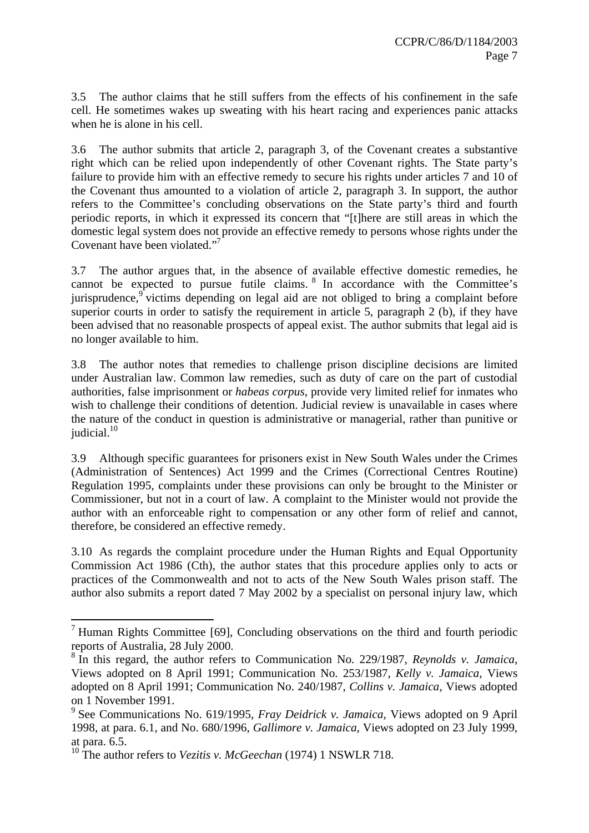3.5 The author claims that he still suffers from the effects of his confinement in the safe cell. He sometimes wakes up sweating with his heart racing and experiences panic attacks when he is alone in his cell.

3.6 The author submits that article 2, paragraph 3, of the Covenant creates a substantive right which can be relied upon independently of other Covenant rights. The State party's failure to provide him with an effective remedy to secure his rights under articles 7 and 10 of the Covenant thus amounted to a violation of article 2, paragraph 3. In support, the author refers to the Committee's concluding observations on the State party's third and fourth periodic reports, in which it expressed its concern that "[t]here are still areas in which the domestic legal system does not provide an effective remedy to persons whose rights under the Covenant have been violated."<sup>7</sup>

3.7 The author argues that, in the absence of available effective domestic remedies, he cannot be expected to pursue futile claims. 8 In accordance with the Committee's jurisprudence,<sup>9</sup> victims depending on legal aid are not obliged to bring a complaint before superior courts in order to satisfy the requirement in article 5, paragraph 2 (b), if they have been advised that no reasonable prospects of appeal exist. The author submits that legal aid is no longer available to him.

3.8 The author notes that remedies to challenge prison discipline decisions are limited under Australian law. Common law remedies, such as duty of care on the part of custodial authorities, false imprisonment or *habeas corpus*, provide very limited relief for inmates who wish to challenge their conditions of detention. Judicial review is unavailable in cases where the nature of the conduct in question is administrative or managerial, rather than punitive or judicial.<sup>10</sup>

3.9 Although specific guarantees for prisoners exist in New South Wales under the Crimes (Administration of Sentences) Act 1999 and the Crimes (Correctional Centres Routine) Regulation 1995, complaints under these provisions can only be brought to the Minister or Commissioner, but not in a court of law. A complaint to the Minister would not provide the author with an enforceable right to compensation or any other form of relief and cannot, therefore, be considered an effective remedy.

3.10 As regards the complaint procedure under the Human Rights and Equal Opportunity Commission Act 1986 (Cth), the author states that this procedure applies only to acts or practices of the Commonwealth and not to acts of the New South Wales prison staff. The author also submits a report dated 7 May 2002 by a specialist on personal injury law, which

<sup>&</sup>lt;sup>7</sup> Human Rights Committee [69], Concluding observations on the third and fourth periodic reports of Australia, 28 July 2000.

<sup>8</sup> In this regard, the author refers to Communication No. 229/1987, *Reynolds v. Jamaica*, Views adopted on 8 April 1991; Communication No. 253/1987, *Kelly v. Jamaica*, Views adopted on 8 April 1991; Communication No. 240/1987, *Collins v. Jamaica*, Views adopted on 1 November 1991.

<sup>9</sup> See Communications No. 619/1995, *Fray Deidrick v. Jamaica*, Views adopted on 9 April 1998, at para. 6.1, and No. 680/1996, *Gallimore v. Jamaica*, Views adopted on 23 July 1999, at para. 6.5.

<sup>10</sup> The author refers to *Vezitis v. McGeechan* (1974) 1 NSWLR 718.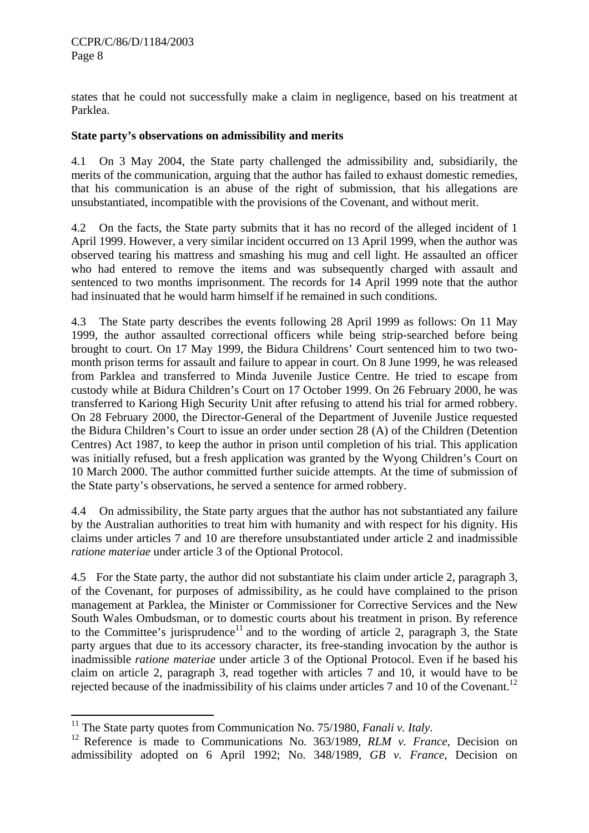states that he could not successfully make a claim in negligence, based on his treatment at Parklea.

## **State party's observations on admissibility and merits**

4.1 On 3 May 2004, the State party challenged the admissibility and, subsidiarily, the merits of the communication, arguing that the author has failed to exhaust domestic remedies, that his communication is an abuse of the right of submission, that his allegations are unsubstantiated, incompatible with the provisions of the Covenant, and without merit.

4.2 On the facts, the State party submits that it has no record of the alleged incident of 1 April 1999. However, a very similar incident occurred on 13 April 1999, when the author was observed tearing his mattress and smashing his mug and cell light. He assaulted an officer who had entered to remove the items and was subsequently charged with assault and sentenced to two months imprisonment. The records for 14 April 1999 note that the author had insinuated that he would harm himself if he remained in such conditions.

4.3 The State party describes the events following 28 April 1999 as follows: On 11 May 1999, the author assaulted correctional officers while being strip-searched before being brought to court. On 17 May 1999, the Bidura Childrens' Court sentenced him to two twomonth prison terms for assault and failure to appear in court. On 8 June 1999, he was released from Parklea and transferred to Minda Juvenile Justice Centre. He tried to escape from custody while at Bidura Children's Court on 17 October 1999. On 26 February 2000, he was transferred to Kariong High Security Unit after refusing to attend his trial for armed robbery. On 28 February 2000, the Director-General of the Department of Juvenile Justice requested the Bidura Children's Court to issue an order under section 28 (A) of the Children (Detention Centres) Act 1987, to keep the author in prison until completion of his trial. This application was initially refused, but a fresh application was granted by the Wyong Children's Court on 10 March 2000. The author committed further suicide attempts. At the time of submission of the State party's observations, he served a sentence for armed robbery.

4.4 On admissibility, the State party argues that the author has not substantiated any failure by the Australian authorities to treat him with humanity and with respect for his dignity. His claims under articles 7 and 10 are therefore unsubstantiated under article 2 and inadmissible *ratione materiae* under article 3 of the Optional Protocol.

4.5 For the State party, the author did not substantiate his claim under article 2, paragraph 3, of the Covenant, for purposes of admissibility, as he could have complained to the prison management at Parklea, the Minister or Commissioner for Corrective Services and the New South Wales Ombudsman, or to domestic courts about his treatment in prison. By reference to the Committee's jurisprudence<sup>11</sup> and to the wording of article 2, paragraph 3, the State party argues that due to its accessory character, its free-standing invocation by the author is inadmissible *ratione materiae* under article 3 of the Optional Protocol. Even if he based his claim on article 2, paragraph 3, read together with articles 7 and 10, it would have to be rejected because of the inadmissibility of his claims under articles 7 and 10 of the Covenant.<sup>12</sup>

<sup>&</sup>lt;sup>11</sup> The State party quotes from Communication No. 75/1980, *Fanali v. Italy*.<br><sup>12</sup> Reference is made to Communications No. 363/1989, *RLM v. France*, Decision on admissibility adopted on 6 April 1992; No. 348/1989, *GB v. France*, Decision on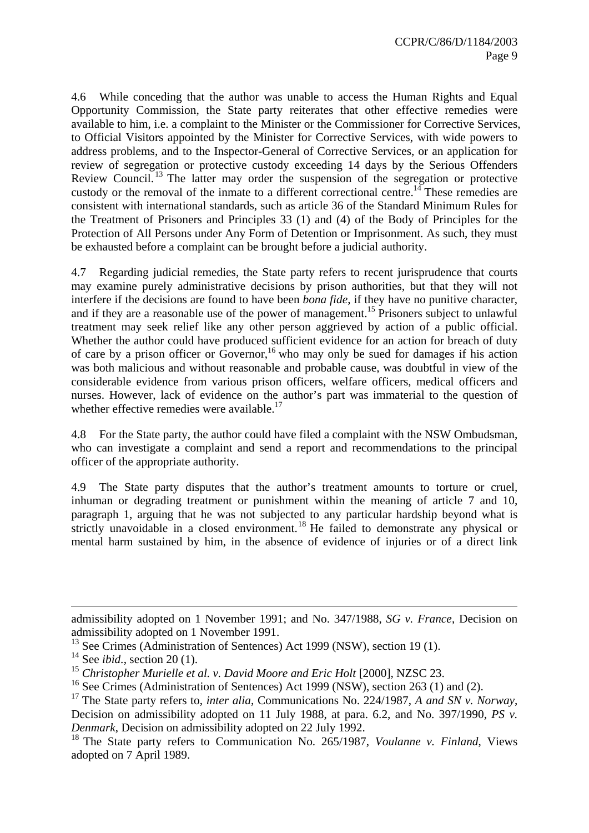4.6 While conceding that the author was unable to access the Human Rights and Equal Opportunity Commission, the State party reiterates that other effective remedies were available to him, i.e. a complaint to the Minister or the Commissioner for Corrective Services, to Official Visitors appointed by the Minister for Corrective Services, with wide powers to address problems, and to the Inspector-General of Corrective Services, or an application for review of segregation or protective custody exceeding 14 days by the Serious Offenders Review Council.<sup>13</sup> The latter may order the suspension of the segregation or protective custody or the removal of the inmate to a different correctional centre.<sup>14</sup> These remedies are consistent with international standards, such as article 36 of the Standard Minimum Rules for the Treatment of Prisoners and Principles 33 (1) and (4) of the Body of Principles for the Protection of All Persons under Any Form of Detention or Imprisonment. As such, they must be exhausted before a complaint can be brought before a judicial authority.

4.7 Regarding judicial remedies, the State party refers to recent jurisprudence that courts may examine purely administrative decisions by prison authorities, but that they will not interfere if the decisions are found to have been *bona fide*, if they have no punitive character, and if they are a reasonable use of the power of management.<sup>15</sup> Prisoners subject to unlawful treatment may seek relief like any other person aggrieved by action of a public official. Whether the author could have produced sufficient evidence for an action for breach of duty of care by a prison officer or Governor,<sup>16</sup> who may only be sued for damages if his action was both malicious and without reasonable and probable cause, was doubtful in view of the considerable evidence from various prison officers, welfare officers, medical officers and nurses. However, lack of evidence on the author's part was immaterial to the question of whether effective remedies were available.<sup>17</sup>

4.8 For the State party, the author could have filed a complaint with the NSW Ombudsman, who can investigate a complaint and send a report and recommendations to the principal officer of the appropriate authority.

4.9 The State party disputes that the author's treatment amounts to torture or cruel, inhuman or degrading treatment or punishment within the meaning of article 7 and 10, paragraph 1, arguing that he was not subjected to any particular hardship beyond what is strictly unavoidable in a closed environment.<sup>18</sup> He failed to demonstrate any physical or mental harm sustained by him, in the absence of evidence of injuries or of a direct link

<u>.</u>

admissibility adopted on 1 November 1991; and No. 347/1988, *SG v. France*, Decision on admissibility adopted on 1 November 1991.

 $13$  See Crimes (Administration of Sentences) Act 1999 (NSW), section 19 (1).

<sup>14</sup> See *ibid.*, section 20 (1).

<sup>&</sup>lt;sup>15</sup> Christopher Murielle et al. v. David Moore and Eric Holt [2000], NZSC 23.

<sup>&</sup>lt;sup>16</sup> See Crimes (Administration of Sentences) Act 1999 (NSW), section 263 (1) and (2).

<sup>17</sup> The State party refers to, *inter alia*, Communications No. 224/1987, *A and SN v. Norway*, Decision on admissibility adopted on 11 July 1988, at para. 6.2, and No. 397/1990, *PS v. Denmark*, Decision on admissibility adopted on 22 July 1992.

<sup>18</sup> The State party refers to Communication No. 265/1987, *Voulanne v. Finland*, Views adopted on 7 April 1989.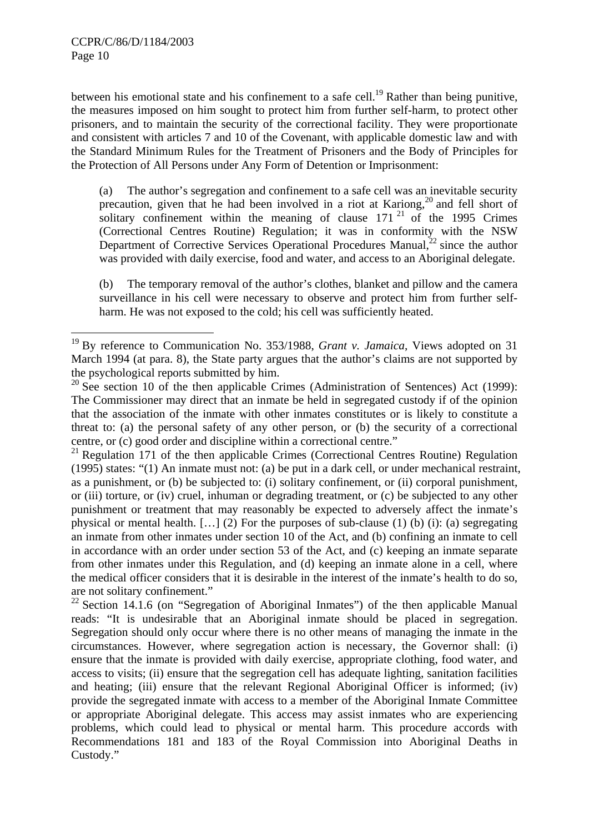1

between his emotional state and his confinement to a safe cell.<sup>19</sup> Rather than being punitive, the measures imposed on him sought to protect him from further self-harm, to protect other prisoners, and to maintain the security of the correctional facility. They were proportionate and consistent with articles 7 and 10 of the Covenant, with applicable domestic law and with the Standard Minimum Rules for the Treatment of Prisoners and the Body of Principles for the Protection of All Persons under Any Form of Detention or Imprisonment:

(a) The author's segregation and confinement to a safe cell was an inevitable security precaution, given that he had been involved in a riot at Kariong,<sup>20</sup> and fell short of solitary confinement within the meaning of clause  $171<sup>21</sup>$  of the 1995 Crimes (Correctional Centres Routine) Regulation; it was in conformity with the NSW Department of Corrective Services Operational Procedures Manual, $^{22}$  since the author was provided with daily exercise, food and water, and access to an Aboriginal delegate.

(b) The temporary removal of the author's clothes, blanket and pillow and the camera surveillance in his cell were necessary to observe and protect him from further selfharm. He was not exposed to the cold; his cell was sufficiently heated.

<sup>19</sup> By reference to Communication No. 353/1988, *Grant v. Jamaica*, Views adopted on 31 March 1994 (at para. 8), the State party argues that the author's claims are not supported by the psychological reports submitted by him.

 $20$  See section 10 of the then applicable Crimes (Administration of Sentences) Act (1999): The Commissioner may direct that an inmate be held in segregated custody if of the opinion that the association of the inmate with other inmates constitutes or is likely to constitute a threat to: (a) the personal safety of any other person, or (b) the security of a correctional centre, or (c) good order and discipline within a correctional centre."

 $^{21}$  Regulation 171 of the then applicable Crimes (Correctional Centres Routine) Regulation (1995) states: "(1) An inmate must not: (a) be put in a dark cell, or under mechanical restraint, as a punishment, or (b) be subjected to: (i) solitary confinement, or (ii) corporal punishment, or (iii) torture, or (iv) cruel, inhuman or degrading treatment, or (c) be subjected to any other punishment or treatment that may reasonably be expected to adversely affect the inmate's physical or mental health. […] (2) For the purposes of sub-clause (1) (b) (i): (a) segregating an inmate from other inmates under section 10 of the Act, and (b) confining an inmate to cell in accordance with an order under section 53 of the Act, and (c) keeping an inmate separate from other inmates under this Regulation, and (d) keeping an inmate alone in a cell, where the medical officer considers that it is desirable in the interest of the inmate's health to do so, are not solitary confinement."

<sup>&</sup>lt;sup>22</sup> Section 14.1.6 (on "Segregation of Aboriginal Inmates") of the then applicable Manual reads: "It is undesirable that an Aboriginal inmate should be placed in segregation. Segregation should only occur where there is no other means of managing the inmate in the circumstances. However, where segregation action is necessary, the Governor shall: (i) ensure that the inmate is provided with daily exercise, appropriate clothing, food water, and access to visits; (ii) ensure that the segregation cell has adequate lighting, sanitation facilities and heating; (iii) ensure that the relevant Regional Aboriginal Officer is informed; (iv) provide the segregated inmate with access to a member of the Aboriginal Inmate Committee or appropriate Aboriginal delegate. This access may assist inmates who are experiencing problems, which could lead to physical or mental harm. This procedure accords with Recommendations 181 and 183 of the Royal Commission into Aboriginal Deaths in Custody."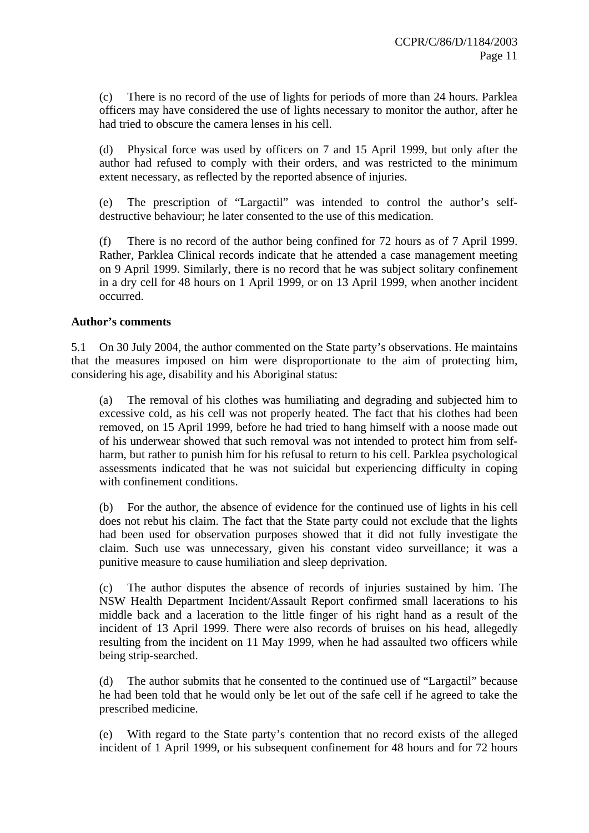(c) There is no record of the use of lights for periods of more than 24 hours. Parklea officers may have considered the use of lights necessary to monitor the author, after he had tried to obscure the camera lenses in his cell.

(d) Physical force was used by officers on 7 and 15 April 1999, but only after the author had refused to comply with their orders, and was restricted to the minimum extent necessary, as reflected by the reported absence of injuries.

(e) The prescription of "Largactil" was intended to control the author's selfdestructive behaviour; he later consented to the use of this medication.

(f) There is no record of the author being confined for 72 hours as of 7 April 1999. Rather, Parklea Clinical records indicate that he attended a case management meeting on 9 April 1999. Similarly, there is no record that he was subject solitary confinement in a dry cell for 48 hours on 1 April 1999, or on 13 April 1999, when another incident occurred.

## **Author's comments**

5.1 On 30 July 2004, the author commented on the State party's observations. He maintains that the measures imposed on him were disproportionate to the aim of protecting him, considering his age, disability and his Aboriginal status:

(a) The removal of his clothes was humiliating and degrading and subjected him to excessive cold, as his cell was not properly heated. The fact that his clothes had been removed, on 15 April 1999, before he had tried to hang himself with a noose made out of his underwear showed that such removal was not intended to protect him from selfharm, but rather to punish him for his refusal to return to his cell. Parklea psychological assessments indicated that he was not suicidal but experiencing difficulty in coping with confinement conditions.

(b) For the author, the absence of evidence for the continued use of lights in his cell does not rebut his claim. The fact that the State party could not exclude that the lights had been used for observation purposes showed that it did not fully investigate the claim. Such use was unnecessary, given his constant video surveillance; it was a punitive measure to cause humiliation and sleep deprivation.

(c) The author disputes the absence of records of injuries sustained by him. The NSW Health Department Incident/Assault Report confirmed small lacerations to his middle back and a laceration to the little finger of his right hand as a result of the incident of 13 April 1999. There were also records of bruises on his head, allegedly resulting from the incident on 11 May 1999, when he had assaulted two officers while being strip-searched.

(d) The author submits that he consented to the continued use of "Largactil" because he had been told that he would only be let out of the safe cell if he agreed to take the prescribed medicine.

(e) With regard to the State party's contention that no record exists of the alleged incident of 1 April 1999, or his subsequent confinement for 48 hours and for 72 hours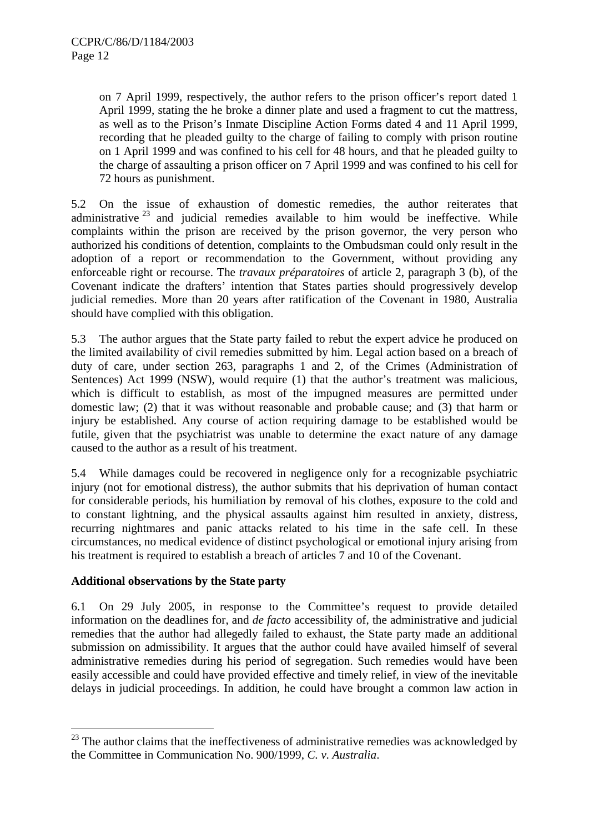on 7 April 1999, respectively, the author refers to the prison officer's report dated 1 April 1999, stating the he broke a dinner plate and used a fragment to cut the mattress, as well as to the Prison's Inmate Discipline Action Forms dated 4 and 11 April 1999, recording that he pleaded guilty to the charge of failing to comply with prison routine on 1 April 1999 and was confined to his cell for 48 hours, and that he pleaded guilty to the charge of assaulting a prison officer on 7 April 1999 and was confined to his cell for 72 hours as punishment.

5.2 On the issue of exhaustion of domestic remedies, the author reiterates that administrative  $23$  and judicial remedies available to him would be ineffective. While complaints within the prison are received by the prison governor, the very person who authorized his conditions of detention, complaints to the Ombudsman could only result in the adoption of a report or recommendation to the Government, without providing any enforceable right or recourse. The *travaux préparatoires* of article 2, paragraph 3 (b), of the Covenant indicate the drafters' intention that States parties should progressively develop judicial remedies. More than 20 years after ratification of the Covenant in 1980, Australia should have complied with this obligation.

5.3 The author argues that the State party failed to rebut the expert advice he produced on the limited availability of civil remedies submitted by him. Legal action based on a breach of duty of care, under section 263, paragraphs 1 and 2, of the Crimes (Administration of Sentences) Act 1999 (NSW), would require (1) that the author's treatment was malicious, which is difficult to establish, as most of the impugned measures are permitted under domestic law; (2) that it was without reasonable and probable cause; and (3) that harm or injury be established. Any course of action requiring damage to be established would be futile, given that the psychiatrist was unable to determine the exact nature of any damage caused to the author as a result of his treatment.

5.4 While damages could be recovered in negligence only for a recognizable psychiatric injury (not for emotional distress), the author submits that his deprivation of human contact for considerable periods, his humiliation by removal of his clothes, exposure to the cold and to constant lightning, and the physical assaults against him resulted in anxiety, distress, recurring nightmares and panic attacks related to his time in the safe cell. In these circumstances, no medical evidence of distinct psychological or emotional injury arising from his treatment is required to establish a breach of articles 7 and 10 of the Covenant.

#### **Additional observations by the State party**

<u>.</u>

6.1 On 29 July 2005, in response to the Committee's request to provide detailed information on the deadlines for, and *de facto* accessibility of, the administrative and judicial remedies that the author had allegedly failed to exhaust, the State party made an additional submission on admissibility. It argues that the author could have availed himself of several administrative remedies during his period of segregation. Such remedies would have been easily accessible and could have provided effective and timely relief, in view of the inevitable delays in judicial proceedings. In addition, he could have brought a common law action in

 $23$  The author claims that the ineffectiveness of administrative remedies was acknowledged by the Committee in Communication No. 900/1999, *C. v. Australia*.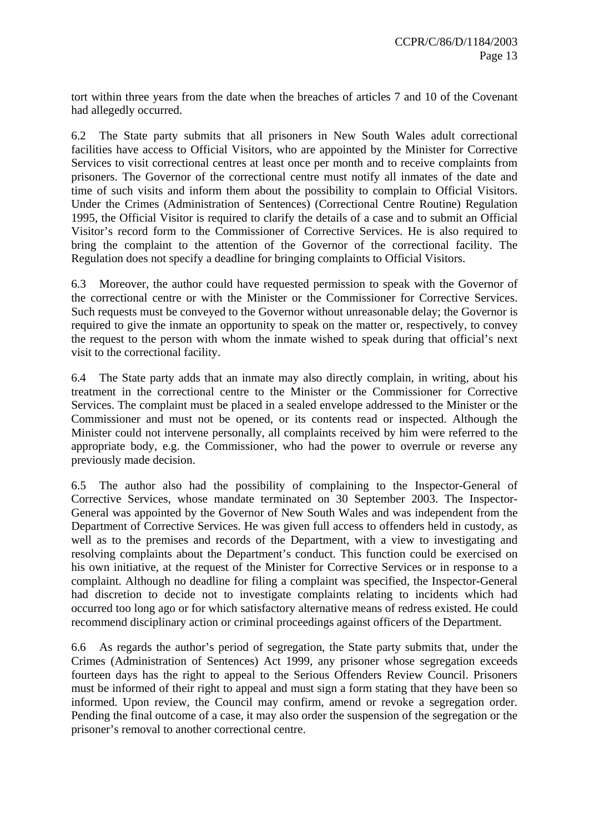tort within three years from the date when the breaches of articles 7 and 10 of the Covenant had allegedly occurred.

6.2 The State party submits that all prisoners in New South Wales adult correctional facilities have access to Official Visitors, who are appointed by the Minister for Corrective Services to visit correctional centres at least once per month and to receive complaints from prisoners. The Governor of the correctional centre must notify all inmates of the date and time of such visits and inform them about the possibility to complain to Official Visitors. Under the Crimes (Administration of Sentences) (Correctional Centre Routine) Regulation 1995, the Official Visitor is required to clarify the details of a case and to submit an Official Visitor's record form to the Commissioner of Corrective Services. He is also required to bring the complaint to the attention of the Governor of the correctional facility. The Regulation does not specify a deadline for bringing complaints to Official Visitors.

6.3 Moreover, the author could have requested permission to speak with the Governor of the correctional centre or with the Minister or the Commissioner for Corrective Services. Such requests must be conveyed to the Governor without unreasonable delay; the Governor is required to give the inmate an opportunity to speak on the matter or, respectively, to convey the request to the person with whom the inmate wished to speak during that official's next visit to the correctional facility.

6.4 The State party adds that an inmate may also directly complain, in writing, about his treatment in the correctional centre to the Minister or the Commissioner for Corrective Services. The complaint must be placed in a sealed envelope addressed to the Minister or the Commissioner and must not be opened, or its contents read or inspected. Although the Minister could not intervene personally, all complaints received by him were referred to the appropriate body, e.g. the Commissioner, who had the power to overrule or reverse any previously made decision.

6.5 The author also had the possibility of complaining to the Inspector-General of Corrective Services, whose mandate terminated on 30 September 2003. The Inspector-General was appointed by the Governor of New South Wales and was independent from the Department of Corrective Services. He was given full access to offenders held in custody, as well as to the premises and records of the Department, with a view to investigating and resolving complaints about the Department's conduct. This function could be exercised on his own initiative, at the request of the Minister for Corrective Services or in response to a complaint. Although no deadline for filing a complaint was specified, the Inspector-General had discretion to decide not to investigate complaints relating to incidents which had occurred too long ago or for which satisfactory alternative means of redress existed. He could recommend disciplinary action or criminal proceedings against officers of the Department.

6.6 As regards the author's period of segregation, the State party submits that, under the Crimes (Administration of Sentences) Act 1999, any prisoner whose segregation exceeds fourteen days has the right to appeal to the Serious Offenders Review Council. Prisoners must be informed of their right to appeal and must sign a form stating that they have been so informed. Upon review, the Council may confirm, amend or revoke a segregation order. Pending the final outcome of a case, it may also order the suspension of the segregation or the prisoner's removal to another correctional centre.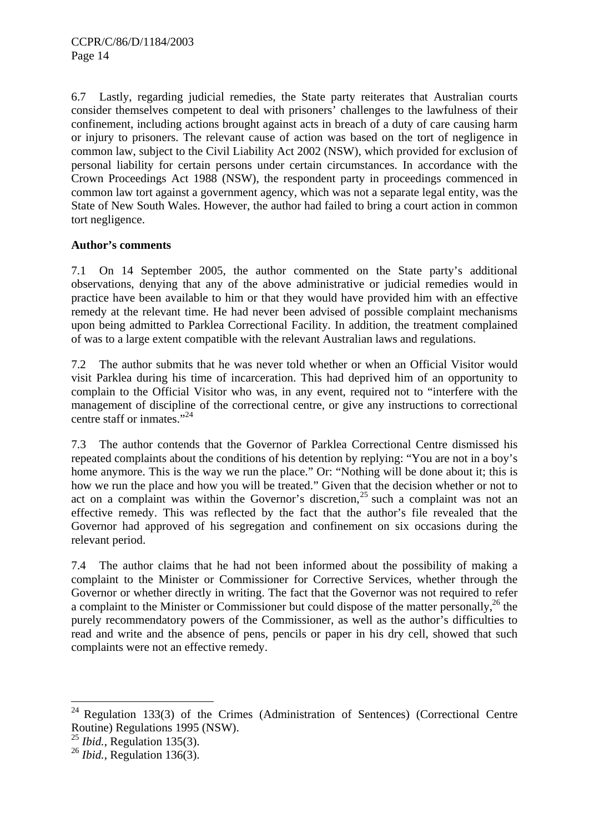6.7 Lastly, regarding judicial remedies, the State party reiterates that Australian courts consider themselves competent to deal with prisoners' challenges to the lawfulness of their confinement, including actions brought against acts in breach of a duty of care causing harm or injury to prisoners. The relevant cause of action was based on the tort of negligence in common law, subject to the Civil Liability Act 2002 (NSW), which provided for exclusion of personal liability for certain persons under certain circumstances. In accordance with the Crown Proceedings Act 1988 (NSW), the respondent party in proceedings commenced in common law tort against a government agency, which was not a separate legal entity, was the State of New South Wales. However, the author had failed to bring a court action in common tort negligence.

## **Author's comments**

7.1 On 14 September 2005, the author commented on the State party's additional observations, denying that any of the above administrative or judicial remedies would in practice have been available to him or that they would have provided him with an effective remedy at the relevant time. He had never been advised of possible complaint mechanisms upon being admitted to Parklea Correctional Facility. In addition, the treatment complained of was to a large extent compatible with the relevant Australian laws and regulations.

7.2 The author submits that he was never told whether or when an Official Visitor would visit Parklea during his time of incarceration. This had deprived him of an opportunity to complain to the Official Visitor who was, in any event, required not to "interfere with the management of discipline of the correctional centre, or give any instructions to correctional centre staff or inmates."<sup>24</sup>

7.3 The author contends that the Governor of Parklea Correctional Centre dismissed his repeated complaints about the conditions of his detention by replying: "You are not in a boy's home anymore. This is the way we run the place." Or: "Nothing will be done about it; this is how we run the place and how you will be treated." Given that the decision whether or not to act on a complaint was within the Governor's discretion,<sup>25</sup> such a complaint was not an effective remedy. This was reflected by the fact that the author's file revealed that the Governor had approved of his segregation and confinement on six occasions during the relevant period.

7.4 The author claims that he had not been informed about the possibility of making a complaint to the Minister or Commissioner for Corrective Services, whether through the Governor or whether directly in writing. The fact that the Governor was not required to refer a complaint to the Minister or Commissioner but could dispose of the matter personally,<sup>26</sup> the purely recommendatory powers of the Commissioner, as well as the author's difficulties to read and write and the absence of pens, pencils or paper in his dry cell, showed that such complaints were not an effective remedy.

 $24$  Regulation 133(3) of the Crimes (Administration of Sentences) (Correctional Centre Routine) Regulations 1995 (NSW).

<sup>&</sup>lt;sup>25</sup> *Ibid.*, Regulation 135(3).

<sup>26</sup> *Ibid.*, Regulation 136(3).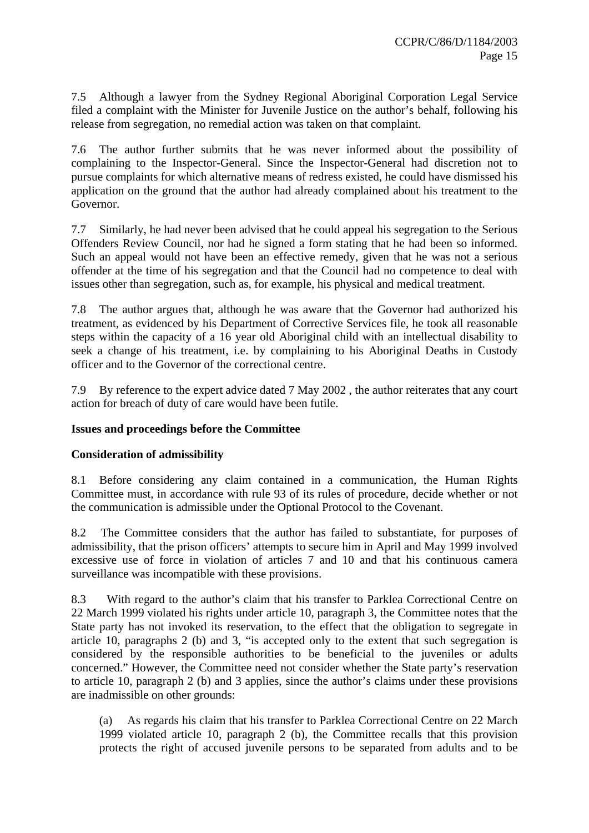7.5 Although a lawyer from the Sydney Regional Aboriginal Corporation Legal Service filed a complaint with the Minister for Juvenile Justice on the author's behalf, following his release from segregation, no remedial action was taken on that complaint.

7.6 The author further submits that he was never informed about the possibility of complaining to the Inspector-General. Since the Inspector-General had discretion not to pursue complaints for which alternative means of redress existed, he could have dismissed his application on the ground that the author had already complained about his treatment to the Governor.

7.7 Similarly, he had never been advised that he could appeal his segregation to the Serious Offenders Review Council, nor had he signed a form stating that he had been so informed. Such an appeal would not have been an effective remedy, given that he was not a serious offender at the time of his segregation and that the Council had no competence to deal with issues other than segregation, such as, for example, his physical and medical treatment.

7.8 The author argues that, although he was aware that the Governor had authorized his treatment, as evidenced by his Department of Corrective Services file, he took all reasonable steps within the capacity of a 16 year old Aboriginal child with an intellectual disability to seek a change of his treatment, i.e. by complaining to his Aboriginal Deaths in Custody officer and to the Governor of the correctional centre.

7.9 By reference to the expert advice dated 7 May 2002 , the author reiterates that any court action for breach of duty of care would have been futile.

## **Issues and proceedings before the Committee**

## **Consideration of admissibility**

8.1 Before considering any claim contained in a communication, the Human Rights Committee must, in accordance with rule 93 of its rules of procedure, decide whether or not the communication is admissible under the Optional Protocol to the Covenant.

8.2 The Committee considers that the author has failed to substantiate, for purposes of admissibility, that the prison officers' attempts to secure him in April and May 1999 involved excessive use of force in violation of articles 7 and 10 and that his continuous camera surveillance was incompatible with these provisions.

8.3 With regard to the author's claim that his transfer to Parklea Correctional Centre on 22 March 1999 violated his rights under article 10, paragraph 3, the Committee notes that the State party has not invoked its reservation, to the effect that the obligation to segregate in article 10, paragraphs 2 (b) and 3, "is accepted only to the extent that such segregation is considered by the responsible authorities to be beneficial to the juveniles or adults concerned." However, the Committee need not consider whether the State party's reservation to article 10, paragraph 2 (b) and 3 applies, since the author's claims under these provisions are inadmissible on other grounds:

(a) As regards his claim that his transfer to Parklea Correctional Centre on 22 March 1999 violated article 10, paragraph 2 (b), the Committee recalls that this provision protects the right of accused juvenile persons to be separated from adults and to be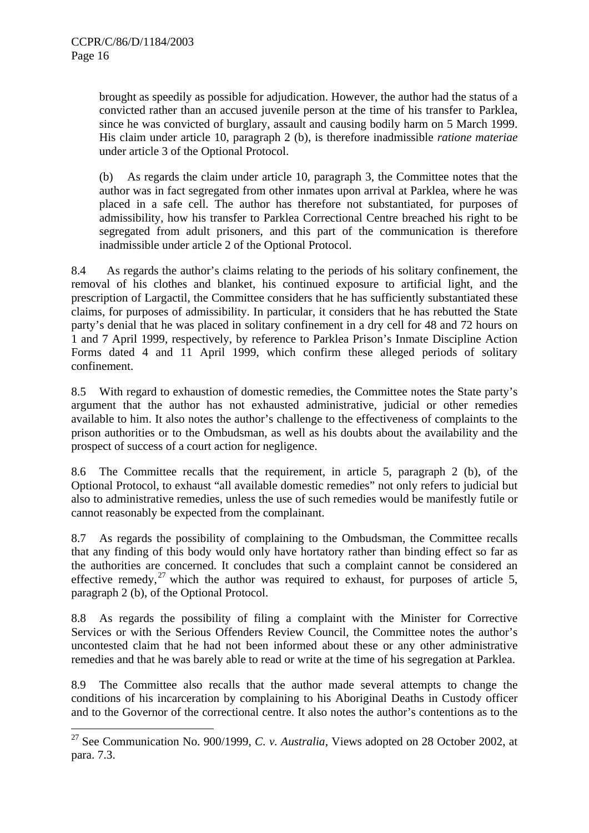<u>.</u>

brought as speedily as possible for adjudication. However, the author had the status of a convicted rather than an accused juvenile person at the time of his transfer to Parklea, since he was convicted of burglary, assault and causing bodily harm on 5 March 1999. His claim under article 10, paragraph 2 (b), is therefore inadmissible *ratione materiae* under article 3 of the Optional Protocol.

(b) As regards the claim under article 10, paragraph 3, the Committee notes that the author was in fact segregated from other inmates upon arrival at Parklea, where he was placed in a safe cell. The author has therefore not substantiated, for purposes of admissibility, how his transfer to Parklea Correctional Centre breached his right to be segregated from adult prisoners, and this part of the communication is therefore inadmissible under article 2 of the Optional Protocol.

8.4 As regards the author's claims relating to the periods of his solitary confinement, the removal of his clothes and blanket, his continued exposure to artificial light, and the prescription of Largactil, the Committee considers that he has sufficiently substantiated these claims, for purposes of admissibility. In particular, it considers that he has rebutted the State party's denial that he was placed in solitary confinement in a dry cell for 48 and 72 hours on 1 and 7 April 1999, respectively, by reference to Parklea Prison's Inmate Discipline Action Forms dated 4 and 11 April 1999, which confirm these alleged periods of solitary confinement.

8.5 With regard to exhaustion of domestic remedies, the Committee notes the State party's argument that the author has not exhausted administrative, judicial or other remedies available to him. It also notes the author's challenge to the effectiveness of complaints to the prison authorities or to the Ombudsman, as well as his doubts about the availability and the prospect of success of a court action for negligence.

8.6 The Committee recalls that the requirement, in article 5, paragraph 2 (b), of the Optional Protocol, to exhaust "all available domestic remedies" not only refers to judicial but also to administrative remedies, unless the use of such remedies would be manifestly futile or cannot reasonably be expected from the complainant.

8.7 As regards the possibility of complaining to the Ombudsman, the Committee recalls that any finding of this body would only have hortatory rather than binding effect so far as the authorities are concerned. It concludes that such a complaint cannot be considered an effective remedy,  $27$  which the author was required to exhaust, for purposes of article 5, paragraph 2 (b), of the Optional Protocol.

8.8 As regards the possibility of filing a complaint with the Minister for Corrective Services or with the Serious Offenders Review Council, the Committee notes the author's uncontested claim that he had not been informed about these or any other administrative remedies and that he was barely able to read or write at the time of his segregation at Parklea.

8.9 The Committee also recalls that the author made several attempts to change the conditions of his incarceration by complaining to his Aboriginal Deaths in Custody officer and to the Governor of the correctional centre. It also notes the author's contentions as to the

<sup>27</sup> See Communication No. 900/1999, *C. v. Australia*, Views adopted on 28 October 2002, at para. 7.3.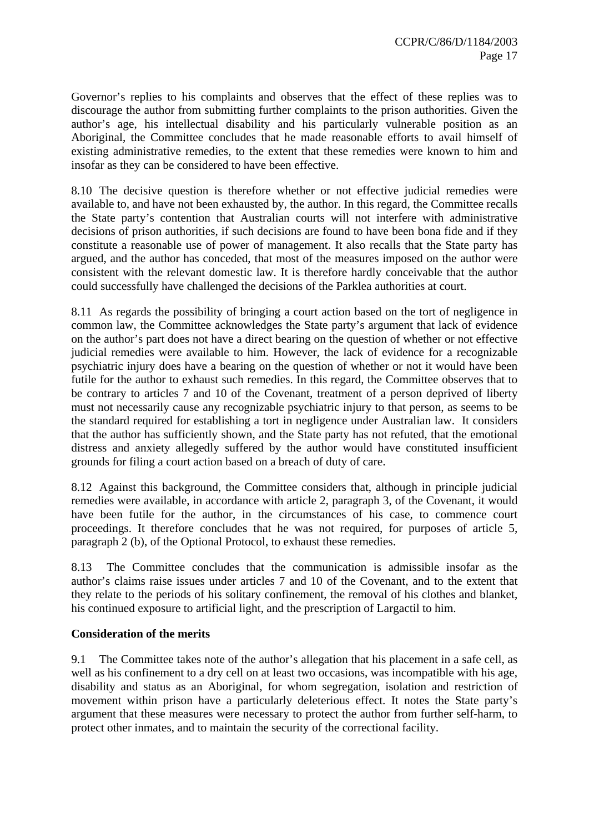Governor's replies to his complaints and observes that the effect of these replies was to discourage the author from submitting further complaints to the prison authorities. Given the author's age, his intellectual disability and his particularly vulnerable position as an Aboriginal, the Committee concludes that he made reasonable efforts to avail himself of existing administrative remedies, to the extent that these remedies were known to him and insofar as they can be considered to have been effective.

8.10 The decisive question is therefore whether or not effective judicial remedies were available to, and have not been exhausted by, the author. In this regard, the Committee recalls the State party's contention that Australian courts will not interfere with administrative decisions of prison authorities, if such decisions are found to have been bona fide and if they constitute a reasonable use of power of management. It also recalls that the State party has argued, and the author has conceded, that most of the measures imposed on the author were consistent with the relevant domestic law. It is therefore hardly conceivable that the author could successfully have challenged the decisions of the Parklea authorities at court.

8.11 As regards the possibility of bringing a court action based on the tort of negligence in common law, the Committee acknowledges the State party's argument that lack of evidence on the author's part does not have a direct bearing on the question of whether or not effective judicial remedies were available to him. However, the lack of evidence for a recognizable psychiatric injury does have a bearing on the question of whether or not it would have been futile for the author to exhaust such remedies. In this regard, the Committee observes that to be contrary to articles 7 and 10 of the Covenant, treatment of a person deprived of liberty must not necessarily cause any recognizable psychiatric injury to that person, as seems to be the standard required for establishing a tort in negligence under Australian law. It considers that the author has sufficiently shown, and the State party has not refuted, that the emotional distress and anxiety allegedly suffered by the author would have constituted insufficient grounds for filing a court action based on a breach of duty of care.

8.12 Against this background, the Committee considers that, although in principle judicial remedies were available, in accordance with article 2, paragraph 3, of the Covenant, it would have been futile for the author, in the circumstances of his case, to commence court proceedings. It therefore concludes that he was not required, for purposes of article 5, paragraph 2 (b), of the Optional Protocol, to exhaust these remedies.

8.13 The Committee concludes that the communication is admissible insofar as the author's claims raise issues under articles 7 and 10 of the Covenant, and to the extent that they relate to the periods of his solitary confinement, the removal of his clothes and blanket, his continued exposure to artificial light, and the prescription of Largactil to him.

#### **Consideration of the merits**

9.1 The Committee takes note of the author's allegation that his placement in a safe cell, as well as his confinement to a dry cell on at least two occasions, was incompatible with his age, disability and status as an Aboriginal, for whom segregation, isolation and restriction of movement within prison have a particularly deleterious effect. It notes the State party's argument that these measures were necessary to protect the author from further self-harm, to protect other inmates, and to maintain the security of the correctional facility.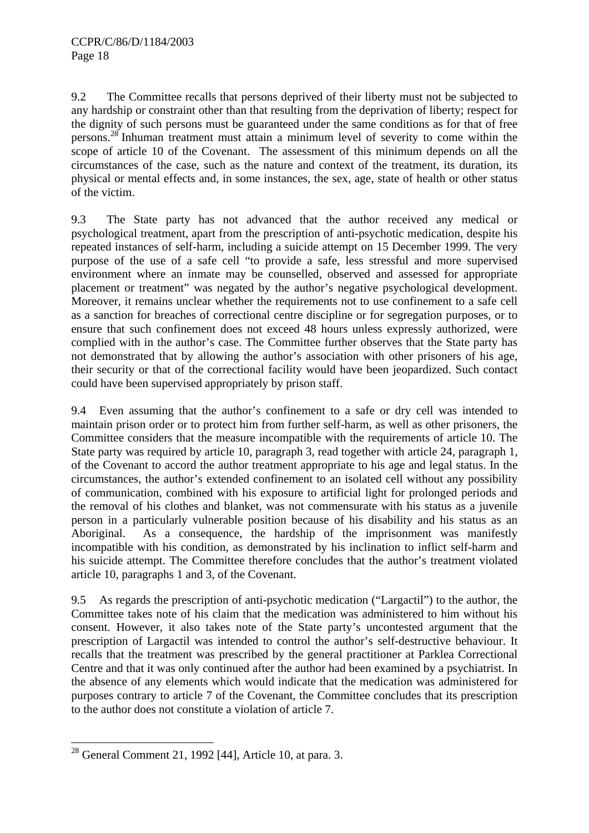9.2 The Committee recalls that persons deprived of their liberty must not be subjected to any hardship or constraint other than that resulting from the deprivation of liberty; respect for the dignity of such persons must be guaranteed under the same conditions as for that of free persons.28 Inhuman treatment must attain a minimum level of severity to come within the scope of article 10 of the Covenant. The assessment of this minimum depends on all the circumstances of the case, such as the nature and context of the treatment, its duration, its physical or mental effects and, in some instances, the sex, age, state of health or other status of the victim.

9.3 The State party has not advanced that the author received any medical or psychological treatment, apart from the prescription of anti-psychotic medication, despite his repeated instances of self-harm, including a suicide attempt on 15 December 1999. The very purpose of the use of a safe cell "to provide a safe, less stressful and more supervised environment where an inmate may be counselled, observed and assessed for appropriate placement or treatment" was negated by the author's negative psychological development. Moreover, it remains unclear whether the requirements not to use confinement to a safe cell as a sanction for breaches of correctional centre discipline or for segregation purposes, or to ensure that such confinement does not exceed 48 hours unless expressly authorized, were complied with in the author's case. The Committee further observes that the State party has not demonstrated that by allowing the author's association with other prisoners of his age, their security or that of the correctional facility would have been jeopardized. Such contact could have been supervised appropriately by prison staff.

9.4 Even assuming that the author's confinement to a safe or dry cell was intended to maintain prison order or to protect him from further self-harm, as well as other prisoners, the Committee considers that the measure incompatible with the requirements of article 10. The State party was required by article 10, paragraph 3, read together with article 24, paragraph 1, of the Covenant to accord the author treatment appropriate to his age and legal status. In the circumstances, the author's extended confinement to an isolated cell without any possibility of communication, combined with his exposure to artificial light for prolonged periods and the removal of his clothes and blanket, was not commensurate with his status as a juvenile person in a particularly vulnerable position because of his disability and his status as an Aboriginal. As a consequence, the hardship of the imprisonment was manifestly incompatible with his condition, as demonstrated by his inclination to inflict self-harm and his suicide attempt. The Committee therefore concludes that the author's treatment violated article 10, paragraphs 1 and 3, of the Covenant.

9.5 As regards the prescription of anti-psychotic medication ("Largactil") to the author, the Committee takes note of his claim that the medication was administered to him without his consent. However, it also takes note of the State party's uncontested argument that the prescription of Largactil was intended to control the author's self-destructive behaviour. It recalls that the treatment was prescribed by the general practitioner at Parklea Correctional Centre and that it was only continued after the author had been examined by a psychiatrist. In the absence of any elements which would indicate that the medication was administered for purposes contrary to article 7 of the Covenant, the Committee concludes that its prescription to the author does not constitute a violation of article 7.

<sup>1</sup>  $28$  General Comment 21, 1992 [44], Article 10, at para. 3.